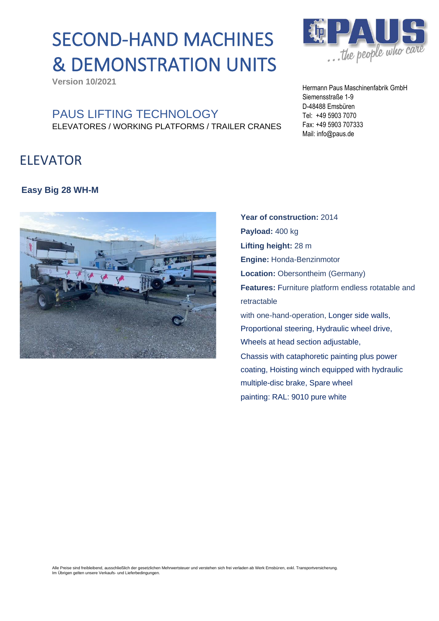# SECOND-HAND MACHINES & DEMONSTRATION UNITS

**Version 10/2021**

### PAUS LIFTING TECHNOLOGY ELEVATORES / WORKING PLATFORMS / TRAILER CRANES

## ELEVATOR

#### **Easy Big 28 WH-M**



Mail: info@paus.de **Year of construction:** 2014 **Payload:** 400 kg **Lifting height:** 28 m **Engine:** Honda-Benzinmotor **Location:** Obersontheim (Germany) **Features:** Furniture platform endless rotatable and retractable

with one-hand-operation, Longer side walls, Proportional steering, Hydraulic wheel drive, Wheels at head section adjustable, Chassis with cataphoretic painting plus power coating, Hoisting winch equipped with hydraulic multiple-disc brake, Spare wheel painting: RAL: 9010 pure white

Alle Preise sind freibleibend, ausschließlich der gesetzlichen Mehrwertsteuer und verstehen sich frei verladen ab Werk Emsbüren, exkl. Transportversicherung.<br>Im Übrigen gelten unsere Verkaufs- und Lieferbedingungen.



Hermann Paus Maschinenfabrik GmbH Siemensstraße 1-9 D-48488 Emsbüren Tel: +49 5903 7070 Fax: +49 5903 707333